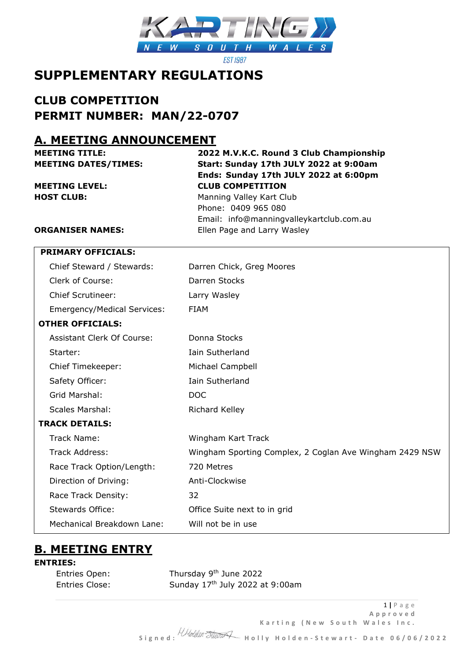

**FST 1987** 

# **SUPPLEMENTARY REGULATIONS**

# **CLUB COMPETITION PERMIT NUMBER: MAN/22-0707**

# **A. MEETING ANNOUNCEMENT**

**HOST CLUB:** Manning Valley Kart Club

# **MEETING TITLE: 2022 M.V.K.C. Round 3 Club Championship MEETING DATES/TIMES: Start: Sunday 17th JULY 2022 at 9:00am Ends: Sunday 17th JULY 2022 at 6:00pm MEETING LEVEL: CLUB COMPETITION**

Phone: 0409 965 080 Email: info@manningvalleykartclub.com.au **ORGANISER NAMES:** Ellen Page and Larry Wasley

| <b>PRIMARY OFFICIALS:</b>          |                                                         |
|------------------------------------|---------------------------------------------------------|
| Chief Steward / Stewards:          | Darren Chick, Greg Moores                               |
| Clerk of Course:                   | Darren Stocks                                           |
| <b>Chief Scrutineer:</b>           | Larry Wasley                                            |
| <b>Emergency/Medical Services:</b> | <b>FIAM</b>                                             |
| <b>OTHER OFFICIALS:</b>            |                                                         |
| <b>Assistant Clerk Of Course:</b>  | Donna Stocks                                            |
| Starter:                           | Iain Sutherland                                         |
| Chief Timekeeper:                  | Michael Campbell                                        |
| Safety Officer:                    | <b>Iain Sutherland</b>                                  |
| Grid Marshal:                      | <b>DOC</b>                                              |
| <b>Scales Marshal:</b>             | Richard Kelley                                          |
| <b>TRACK DETAILS:</b>              |                                                         |
| Track Name:                        | Wingham Kart Track                                      |
| <b>Track Address:</b>              | Wingham Sporting Complex, 2 Coglan Ave Wingham 2429 NSW |
| Race Track Option/Length:          | 720 Metres                                              |
| Direction of Driving:              | Anti-Clockwise                                          |
| Race Track Density:                | 32                                                      |
| <b>Stewards Office:</b>            | Office Suite next to in grid                            |
| Mechanical Breakdown Lane:         | Will not be in use                                      |
|                                    |                                                         |

# **B. MEETING ENTRY**

## **ENTRIES:**

| Entries Open:  |  |
|----------------|--|
| Entries Close: |  |

Entries Open: Thursday 9<sup>th</sup> June 2022 Sunday 17<sup>th</sup> July 2022 at 9:00am

 **S i g n e d : H o l l y H o l d e n - S t e w a r t - D a t e 0 6 / 0 6 / 2 0 2 2**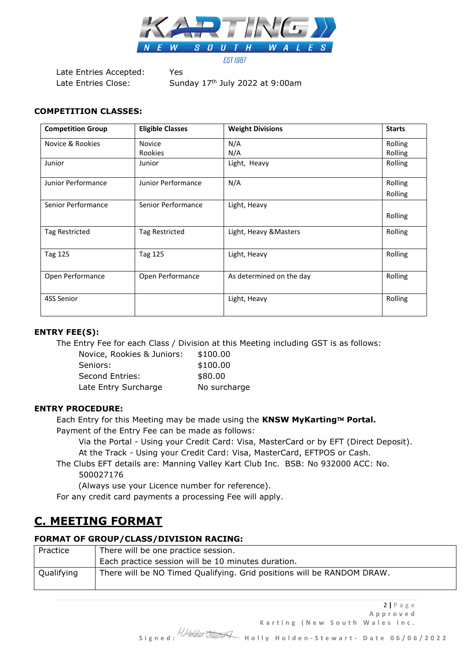

Late Entries Accepted: Yes

Late Entries Close: Sunday 17<sup>th</sup> July 2022 at 9:00am

#### **COMPETITION CLASSES:**

| <b>Competition Group</b> | <b>Eligible Classes</b> | <b>Weight Divisions</b>  | <b>Starts</b> |
|--------------------------|-------------------------|--------------------------|---------------|
| Novice & Rookies         | <b>Novice</b>           | N/A                      | Rolling       |
|                          | Rookies                 | N/A                      | Rolling       |
| Junior                   | Junior                  | Light, Heavy             | Rolling       |
| Junior Performance       | Junior Performance      | N/A                      | Rolling       |
|                          |                         |                          | Rolling       |
| Senior Performance       | Senior Performance      | Light, Heavy             |               |
|                          |                         |                          | Rolling       |
| Tag Restricted           | Tag Restricted          | Light, Heavy & Masters   | Rolling       |
| Tag 125                  | Tag 125                 | Light, Heavy             | Rolling       |
| Open Performance         | Open Performance        | As determined on the day | Rolling       |
| 4SS Senior               |                         | Light, Heavy             | Rolling       |

### **ENTRY FEE(S):**

The Entry Fee for each Class / Division at this Meeting including GST is as follows:

| Novice, Rookies & Juniors: | \$100.00     |
|----------------------------|--------------|
| Seniors:                   | \$100.00     |
| Second Entries:            | \$80.00      |
| Late Entry Surcharge       | No surcharge |

#### **ENTRY PROCEDURE:**

Each Entry for this Meeting may be made using the KNSW MyKarting™ Portal.

Payment of the Entry Fee can be made as follows:

Via the Portal - Using your Credit Card: Visa, MasterCard or by EFT (Direct Deposit). At the Track - Using your Credit Card: Visa, MasterCard, EFTPOS or Cash.

The Clubs EFT details are: Manning Valley Kart Club Inc. BSB: No 932000 ACC: No.

# 500027176

(Always use your Licence number for reference).

For any credit card payments a processing Fee will apply.

# **C. MEETING FORMAT**

### **FORMAT OF GROUP/CLASS/DIVISION RACING:**

| Practice   | There will be one practice session.                                    |
|------------|------------------------------------------------------------------------|
|            | Each practice session will be 10 minutes duration.                     |
| Qualifying | There will be NO Timed Qualifying. Grid positions will be RANDOM DRAW. |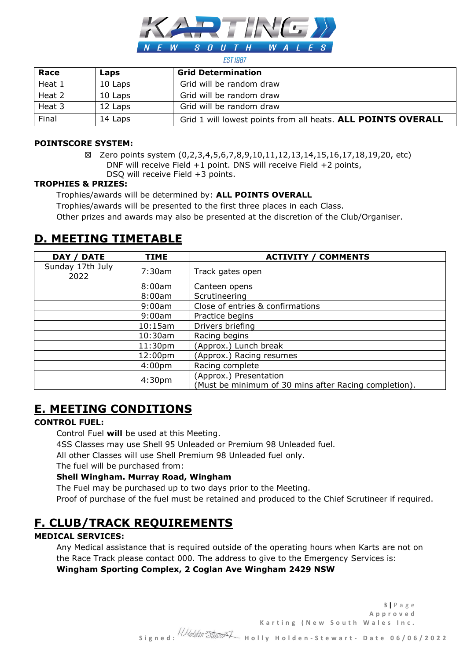

#### **FST 1987**

| Race   | Laps    | <b>Grid Determination</b>                                    |
|--------|---------|--------------------------------------------------------------|
| Heat 1 | 10 Laps | Grid will be random draw                                     |
| Heat 2 | 10 Laps | Grid will be random draw                                     |
| Heat 3 | 12 Laps | Grid will be random draw                                     |
| Final  | 14 Laps | Grid 1 will lowest points from all heats. ALL POINTS OVERALL |

#### **POINTSCORE SYSTEM:**

☒ Zero points system (0,2,3,4,5,6,7,8,9,10,11,12,13,14,15,16,17,18,19,20, etc) DNF will receive Field +1 point. DNS will receive Field +2 points, DSQ will receive Field +3 points.

#### **TROPHIES & PRIZES:**

Trophies/awards will be determined by: **ALL POINTS OVERALL**

Trophies/awards will be presented to the first three places in each Class.

Other prizes and awards may also be presented at the discretion of the Club/Organiser.

# **D. MEETING TIMETABLE**

| <b>DATE</b><br>DAY /     | <b>TIME</b>         | <b>ACTIVITY / COMMENTS</b>                                                      |
|--------------------------|---------------------|---------------------------------------------------------------------------------|
| Sunday 17th July<br>2022 | 7:30am              | Track gates open                                                                |
|                          | 8:00am              | Canteen opens                                                                   |
|                          | 8:00am              | Scrutineering                                                                   |
|                          | 9:00am              | Close of entries & confirmations                                                |
|                          | 9:00am              | Practice begins                                                                 |
|                          | 10:15am             | Drivers briefing                                                                |
|                          | $10:30$ am          | Racing begins                                                                   |
|                          | 11:30 <sub>pm</sub> | (Approx.) Lunch break                                                           |
|                          | 12:00pm             | (Approx.) Racing resumes                                                        |
|                          | 4:00 <sub>pm</sub>  | Racing complete                                                                 |
|                          | 4:30 <sub>pm</sub>  | (Approx.) Presentation<br>(Must be minimum of 30 mins after Racing completion). |

# **E. MEETING CONDITIONS**

### **CONTROL FUEL:**

Control Fuel **will** be used at this Meeting.

4SS Classes may use Shell 95 Unleaded or Premium 98 Unleaded fuel.

All other Classes will use Shell Premium 98 Unleaded fuel only.

The fuel will be purchased from:

### **Shell Wingham. Murray Road, Wingham**

The Fuel may be purchased up to two days prior to the Meeting.

Proof of purchase of the fuel must be retained and produced to the Chief Scrutineer if required.

# **F. CLUB/TRACK REQUIREMENTS**

### **MEDICAL SERVICES:**

Any Medical assistance that is required outside of the operating hours when Karts are not on the Race Track please contact 000. The address to give to the Emergency Services is: **Wingham Sporting Complex, 2 Coglan Ave Wingham 2429 NSW**

3 **|** P a g e